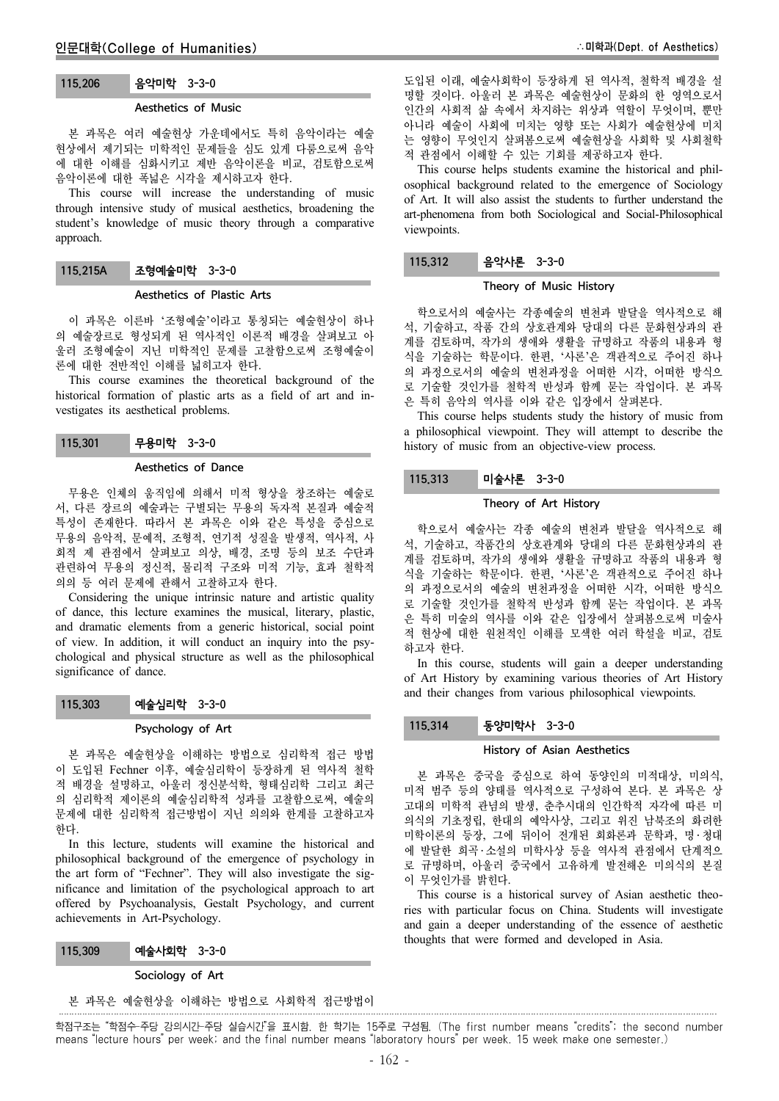# 115.206 음악미학 3-3-0

### Aesthetics of Music

본 과목은 여러 예술현상 가운데에서도 특히 음악이라는 예술 현상에서 제기되는 미학적인 문제들을 심도 있게 다룸으로써 음악 에 대한 이해를 심화시키고 제반 음악이론을 비교, 검토함으로써 음악이론에 대한 폭넓은 시각을 제시하고자 한다.

This course will increase the understanding of music through intensive study of musical aesthetics, broadening the student's knowledge of music theory through a comparative approach.

### 115.215A 조형예술미학 3-3-0

#### Aesthetics of Plastic Arts

이 과목은 이른바 '조형예술'이라고 통칭되는 예술현상이 하나 의 예술장르로 형성되게 된 역사적인 이론적 배경을 살펴보고 아 울러 조형예술이 지닌 미학적인 문제를 고찰함으로써 조형예술이 론에 대한 전반적인 이해를 넓히고자 한다.

This course examines the theoretical background of the historical formation of plastic arts as a field of art and investigates its aesthetical problems.

115.301 무용미학 3-3-0

#### Aesthetics of Dance

무용은 인체의 움직임에 의해서 미적 형상을 창조하는 예술로 서, 다른 장르의 예술과는 구별되는 무용의 독자적 본질과 예술적 특성이 존재한다. 따라서 본 과목은 이와 같은 특성을 중심으로 무용의 음악적, 문예적, 조형적, 연기적 성질을 발생적, 역사적, 사 회적 제 관점에서 살펴보고 의상, 배경, 조명 등의 보조 수단과 관련하여 무용의 정신적, 물리적 구조와 미적 기능, 효과 철학적 의의 등 여러 문제에 관해서 고찰하고자 한다.

Considering the unique intrinsic nature and artistic quality of dance, this lecture examines the musical, literary, plastic, and dramatic elements from a generic historical, social point of view. In addition, it will conduct an inquiry into the psychological and physical structure as well as the philosophical significance of dance.

### 115.303 예술심리학 3-3-0

#### Psychology of Art

본 과목은 예술현상을 이해하는 방법으로 심리학적 접근 방법 이 도입된 Fechner 이후, 예술심리학이 등장하게 된 역사적 철학 적 배경을 설명하고, 아울러 정신분석학, 형태심리학 그리고 최근 의 심리학적 제이론의 예술심리학적 성과를 고찰함으로써, 예술의 문제에 대한 심리학적 접근방법이 지닌 의의와 한계를 고찰하고자 한다.

In this lecture, students will examine the historical and philosophical background of the emergence of psychology in the art form of "Fechner". They will also investigate the significance and limitation of the psychological approach to art offered by Psychoanalysis, Gestalt Psychology, and current achievements in Art-Psychology.

| 115,309 | 예술사회학 3-3-0 |  |  |  |
|---------|-------------|--|--|--|
|---------|-------------|--|--|--|

#### Sociology of Art

본 과목은 예술현상을 이해하는 방법으로 사회학적 접근방법이

도입된 이래, 예술사회학이 등장하게 된 역사적, 철학적 배경을 설 명할 것이다. 아울러 본 과목은 예술현상이 문화의 한 영역으로서 인간의 사회적 삶 속에서 차지하는 위상과 역할이 무엇이며, 뿐만 아니라 예술이 사회에 미치는 영향 또는 사회가 예술현상에 미치 는 영향이 무엇인지 살펴봄으로써 예술현상을 사회학 및 사회철학 적 관점에서 이해할 수 있는 기회를 제공하고자 한다.

This course helps students examine the historical and philosophical background related to the emergence of Sociology of Art. It will also assist the students to further understand the art-phenomena from both Sociological and Social-Philosophical viewpoints.

### 115.312 음악사론 3-3-0

#### Theory of Music History

학으로서의 예술사는 각종예술의 변천과 발달을 역사적으로 해 석, 기술하고, 작품 간의 상호관계와 당대의 다른 문화현상과의 관 계를 검토하며, 작가의 생애와 생활을 규명하고 작품의 내용과 형 식을 기술하는 학문이다. 한편, '사론'은 객관적으로 주어진 하나 의 과정으로서의 예술의 변천과정을 어떠한 시각, 어떠한 방식으 로 기술할 것인가를 철학적 반성과 함께 묻는 작업이다. 본 과목 은 특히 음악의 역사를 이와 같은 입장에서 살펴본다.

This course helps students study the history of music from a philosophical viewpoint. They will attempt to describe the history of music from an objective-view process.

#### 115.313 미술사론 3-3-0

#### Theory of Art History

학으로서 예술사는 각종 예술의 변천과 발달을 역사적으로 해 석, 기술하고, 작품간의 상호관계와 당대의 다른 문화현상과의 관 계를 검토하며, 작가의 생애와 생활을 규명하고 작품의 내용과 형 식을 기술하는 학문이다. 한편, '사론'은 객관적으로 주어진 하나 의 과정으로서의 예술의 변천과정을 어떠한 시각, 어떠한 방식으 로 기술할 것인가를 철학적 반성과 함께 묻는 작업이다. 본 과목 은 특히 미술의 역사를 이와 같은 입장에서 살펴봄으로써 미술사 적 현상에 대한 원천적인 이해를 모색한 여러 학설을 비교, 검토 하고자 한다.

In this course, students will gain a deeper understanding of Art History by examining various theories of Art History and their changes from various philosophical viewpoints.

#### 115.314 동양미학사 3-3-0

#### History of Asian Aesthetics

본 과목은 중국을 중심으로 하여 동양인의 미적대상, 미의식, 미적 범주 등의 양태를 역사적으로 구성하여 본다. 본 과목은 상 고대의 미학적 관념의 발생, 춘추시대의 인간학적 자각에 따른 미 의식의 기초정립, 한대의 예악사상, 그리고 위진 남북조의 화려한 미학이론의 등장, 그에 뒤이어 전개된 회화론과 문학과, 명 ․ 청대 에 발달한 희곡 ․ 소설의 미학사상 등을 역사적 관점에서 단계적으 로 규명하며, 아울러 중국에서 고유하게 발전해온 미의식의 본질 이 무엇인가를 밝힌다.

This course is a historical survey of Asian aesthetic theories with particular focus on China. Students will investigate and gain a deeper understanding of the essence of aesthetic thoughts that were formed and developed in Asia.

학점구조는 "학점수-주당 강의시간-주당 실습시간"을 표시함. 한 학기는 15주로 구성됨. (The first number means "credits"; the second number means "lecture hours" per week; and the final number means "laboratory hours" per week. 15 week make one semester.)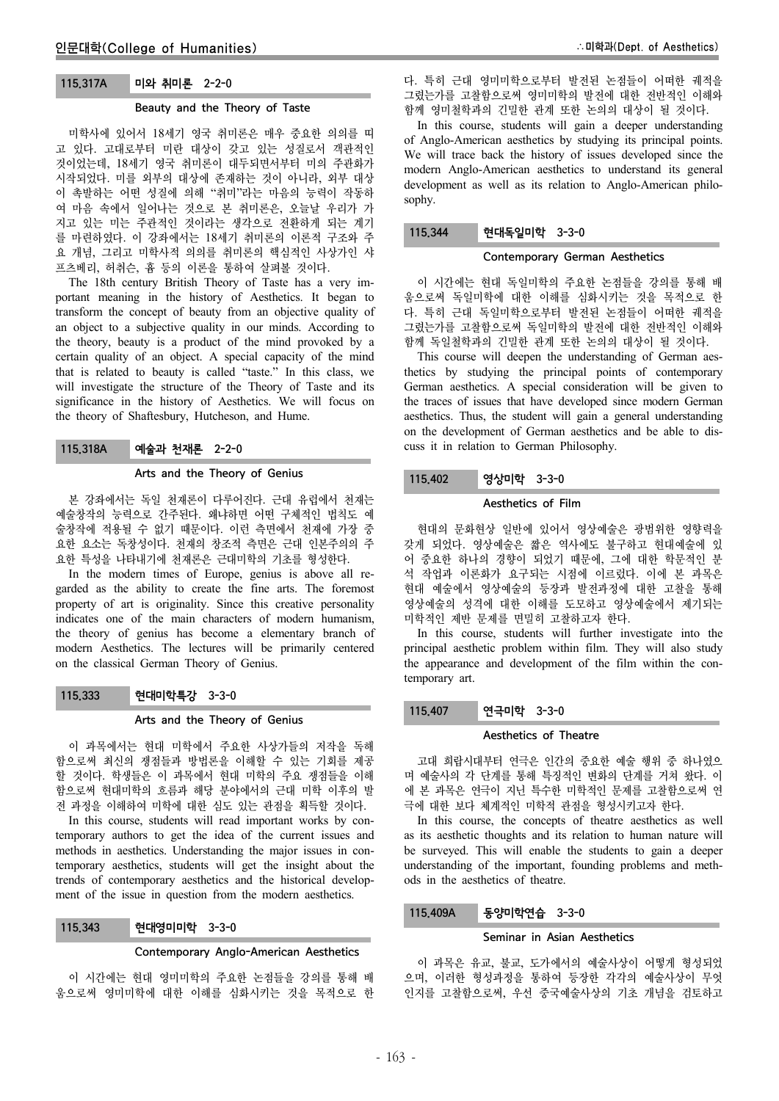## 115.317A 미와 취미론 2-2-0

## Beauty and the Theory of Taste

미학사에 있어서 18세기 영국 취미론은 매우 중요한 의의를 띠 고 있다. 고대로부터 미란 대상이 갖고 있는 성질로서 객관적인 것이었는데, 18세기 영국 취미론이 대두되면서부터 미의 주관화가 시작되었다. 미를 외부의 대상에 존재하는 것이 아니라, 외부 대상 이 촉발하는 어떤 성질에 의해 "취미"라는 마음의 능력이 작동하 여 마음 속에서 일어나는 것으로 본 취미론은, 오늘날 우리가 가 지고 있는 미는 주관적인 것이라는 생각으로 전환하게 되는 계기 를 마련하였다. 이 강좌에서는 18세기 취미론의 이론적 구조와 주 요 개념, 그리고 미학사적 의의를 취미론의 핵심적인 사상가인 샤 프츠베리, 허취슨, 흄 등의 이론을 통하여 살펴볼 것이다.

The 18th century British Theory of Taste has a very important meaning in the history of Aesthetics. It began to transform the concept of beauty from an objective quality of an object to a subjective quality in our minds. According to the theory, beauty is a product of the mind provoked by a certain quality of an object. A special capacity of the mind that is related to beauty is called "taste." In this class, we will investigate the structure of the Theory of Taste and its significance in the history of Aesthetics. We will focus on the theory of Shaftesbury, Hutcheson, and Hume.

## 115.318A 예술과 천재론 2-2-0

#### Arts and the Theory of Genius

본 강좌에서는 독일 천재론이 다루어진다. 근대 유럽에서 천재는 예술창작의 능력으로 간주된다. 왜냐하면 어떤 구체적인 법칙도 예 술창작에 적용될 수 없기 때문이다. 이런 측면에서 천재에 가장 중 요한 요소는 독창성이다. 천재의 창조적 측면은 근대 인본주의의 주 요한 특성을 나타내기에 천재론은 근대미학의 기초를 형성한다.

In the modern times of Europe, genius is above all regarded as the ability to create the fine arts. The foremost property of art is originality. Since this creative personality indicates one of the main characters of modern humanism, the theory of genius has become a elementary branch of modern Aesthetics. The lectures will be primarily centered on the classical German Theory of Genius.

### 115.333 현대미학특강 3-3-0

### Arts and the Theory of Genius

이 과목에서는 현대 미학에서 주요한 사상가들의 저작을 독해 함으로써 최신의 쟁점들과 방법론을 이해할 수 있는 기회를 제공 할 것이다. 학생들은 이 과목에서 현대 미학의 주요 쟁점들을 이해 함으로써 현대미학의 흐름과 해당 분야에서의 근대 미학 이후의 발 전 과정을 이해하여 미학에 대한 심도 있는 관점을 획득할 것이다.

In this course, students will read important works by contemporary authors to get the idea of the current issues and methods in aesthetics. Understanding the major issues in contemporary aesthetics, students will get the insight about the trends of contemporary aesthetics and the historical development of the issue in question from the modern aesthetics.

| 115,343 | 현대영미미학 3-3-0 |  |
|---------|--------------|--|
|---------|--------------|--|

### Contemporary Anglo-American Aesthetics

이 시간에는 현대 영미미학의 주요한 논점들을 강의를 통해 배 움으로써 영미미학에 대한 이해를 심화시키는 것을 목적으로 한 다. 특히 근대 영미미학으로부터 발전된 논점들이 어떠한 궤적을 그렸는가를 고찰함으로써 영미미학의 발전에 대한 전반적인 이해와 함께 영미철학과의 긴밀한 관계 또한 논의의 대상이 될 것이다.

In this course, students will gain a deeper understanding of Anglo-American aesthetics by studying its principal points. We will trace back the history of issues developed since the modern Anglo-American aesthetics to understand its general development as well as its relation to Anglo-American philosophy.

# 115.344 현대독일미학 3-3-0

### Contemporary German Aesthetics

이 시간에는 현대 독일미학의 주요한 논점들을 강의를 통해 배 움으로써 독일미학에 대한 이해를 심화시키는 것을 목적으로 한 다. 특히 근대 독일미학으로부터 발전된 논점들이 어떠한 궤적을 그렸는가를 고찰함으로써 독일미학의 발전에 대한 전반적인 이해와 함께 독일철학과의 긴밀한 관계 또한 논의의 대상이 될 것이다.

This course will deepen the understanding of German aesthetics by studying the principal points of contemporary German aesthetics. A special consideration will be given to the traces of issues that have developed since modern German aesthetics. Thus, the student will gain a general understanding on the development of German aesthetics and be able to discuss it in relation to German Philosophy.

## 115.402 영상미학 3-3-0

#### Aesthetics of Film

현대의 문화현상 일반에 있어서 영상예술은 광범위한 영향력을 갖게 되었다. 영상예술은 짧은 역사에도 불구하고 현대예술에 있 어 중요한 하나의 경향이 되었기 때문에, 그에 대한 학문적인 분 석 작업과 이론화가 요구되는 시점에 이르렀다. 이에 본 과목은 현대 예술에서 영상예술의 등장과 발전과정에 대한 고찰을 통해 영상예술의 성격에 대한 이해를 도모하고 영상예술에서 제기되는 미학적인 제반 문제를 면밀히 고찰하고자 한다.

In this course, students will further investigate into the principal aesthetic problem within film. They will also study the appearance and development of the film within the contemporary art.

## 115.407 연극미학 3-3-0

### Aesthetics of Theatre

고대 희랍시대부터 연극은 인간의 중요한 예술 행위 중 하나였으 며 예술사의 각 단계를 통해 특징적인 변화의 단계를 거쳐 왔다. 이 에 본 과목은 연극이 지닌 특수한 미학적인 문제를 고찰함으로써 연 극에 대한 보다 체계적인 미학적 관점을 형성시키고자 한다.

In this course, the concepts of theatre aesthetics as well as its aesthetic thoughts and its relation to human nature will be surveyed. This will enable the students to gain a deeper understanding of the important, founding problems and methods in the aesthetics of theatre.

### 115.409A 동양미학연습 3-3-0

### Seminar in Asian Aesthetics

이 과목은 유교, 불교, 도가에서의 예술사상이 어떻게 형성되었 으며, 이러한 형성과정을 통하여 등장한 각각의 예술사상이 무엇 인지를 고찰함으로써, 우선 중국예술사상의 기초 개념을 검토하고